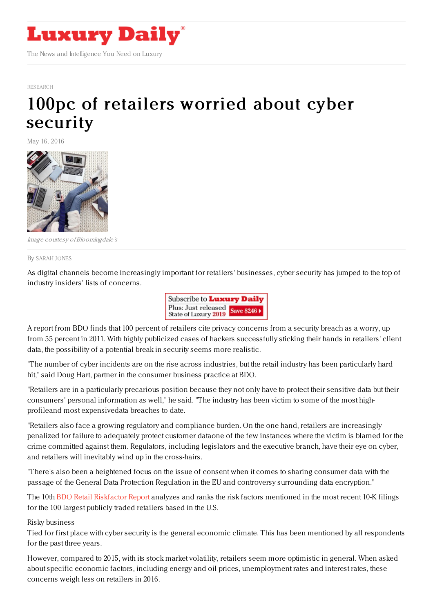

[RESEARCH](https://www.luxurydaily.com/category/news/research/)

## 100pc of [retailers](https://www.luxurydaily.com/100pc-of-retailers-worried-about-cyber-security/) worried about cyber security

May 16, 2016



Image courtesy ofBloomingdale's

By [SARAH](file:///author/sarah-jones) JONES

As digital channels become increasingly important for retailers' businesses, cyber security has jumped to the top of industry insiders' lists of concerns.



A report from BDO finds that 100 percent of retailers cite privacy concerns from a security breach as a worry, up from 55 percent in 2011. With highly publicized cases of hackers successfully sticking their hands in retailers' client data, the possibility of a potential break in security seems more realistic.

"The number of cyber incidents are on the rise across industries, but the retail industry has been particularly hard hit," said Doug Hart, partner in the consumer business practice at BDO.

"Retailers are in a particularly precarious position because they not only have to protect their sensitive data but their consumers' personal information as well," he said. "The industry has been victim to some of the most highprofileand most expensivedata breaches to date.

"Retailers also face a growing regulatory and compliance burden. On the one hand, retailers are increasingly penalized for failure to adequately protect customer dataone of the few instances where the victim is blamed for the crime committed against them. Regulators, including legislators and the executive branch, have their eye on cyber, and retailers will inevitably wind up in the cross-hairs.

"There's also been a heightened focus on the issue of consent when it comes to sharing consumer data with the passage of the General Data Protection Regulation in the EU and controversy surrounding data encryption."

The 10th BDO Retail [Riskfactor](https://www.bdo.com/insights/industries/retail-consumer-products/2016-bdo-retail-riskfactor-report) Report analyzes and ranks the risk factors mentioned in the most recent 10-K filings for the 100 largest publicly traded retailers based in the U.S.

Risky business

Tied for first place with cyber security is the general economic climate. This has been mentioned by all respondents for the past three years.

However, compared to 2015, with its stock market volatility, retailers seem more optimistic in general. When asked about specific economic factors, including energy and oil prices, unemployment rates and interest rates, these concerns weigh less on retailers in 2016.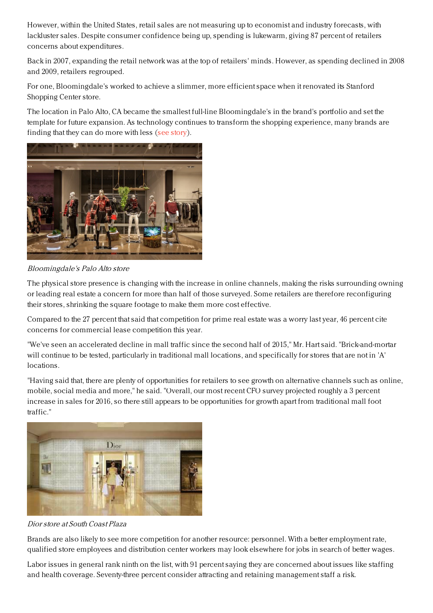However, within the United States, retail sales are not measuring up to economist and industry forecasts, with lackluster sales. Despite consumer confidence being up, spending is lukewarm, giving 87 percent of retailers concerns about expenditures.

Back in 2007, expanding the retail network was at the top of retailers' minds. However, as spending declined in 2008 and 2009, retailers regrouped.

For one, Bloomingdale's worked to achieve a slimmer, more efficient space when it renovated its Stanford Shopping Center store.

The location in Palo Alto, CA became the smallest full-line Bloomingdale's in the brand's portfolio and set the template for future expansion. As technology continues to transform the shopping experience, many brands are finding that they can do more with less (see [story](https://www.luxurydaily.com/bloomingdales-revamps-retail-space-in-palo-alto/)).



Bloomingdale's Palo Alto store

The physical store presence is changing with the increase in online channels, making the risks surrounding owning or leading real estate a concern for more than half of those surveyed. Some retailers are therefore reconfiguring their stores, shrinking the square footage to make them more cost effective.

Compared to the 27 percent that said that competition for prime real estate was a worry last year, 46 percent cite concerns for commercial lease competition this year.

"We've seen an accelerated decline in mall traffic since the second half of 2015," Mr. Hart said. "Brick-and-mortar will continue to be tested, particularly in traditional mall locations, and specifically for stores that are not in 'A' locations.

"Having said that, there are plenty of opportunities for retailers to see growth on alternative channels such as online, mobile, social media and more," he said. "Overall, our most recent CFO survey projected roughly a 3 percent increase in sales for 2016, so there still appears to be opportunities for growth apart from traditional mall foot traffic."



Dior store at South Coast Plaza

Brands are also likely to see more competition for another resource: personnel. With a better employment rate, qualified store employees and distribution center workers may look elsewhere for jobs in search of better wages.

Labor issues in general rank ninth on the list, with 91 percent saying they are concerned about issues like staffing and health coverage. Seventy-three percent consider attracting and retaining management staff a risk.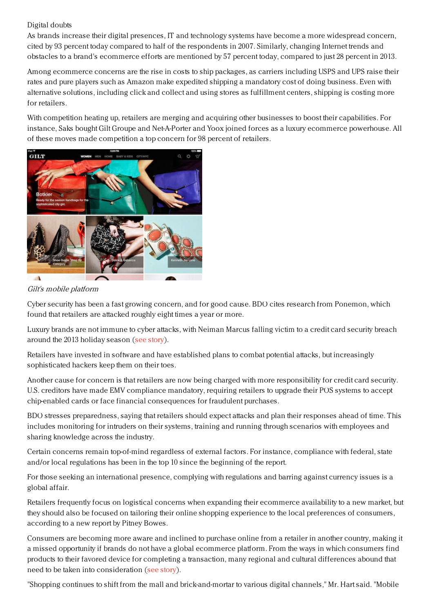## Digital doubts

As brands increase their digital presences, IT and technology systems have become a more widespread concern, cited by 93 percent today compared to half of the respondents in 2007. Similarly, changing Internet trends and obstacles to a brand's ecommerce efforts are mentioned by 57 percent today, compared to just 28 percent in 2013.

Among ecommerce concerns are the rise in costs to ship packages, as carriers including USPS and UPS raise their rates and pure players such as Amazon make expedited shipping a mandatory cost of doing business. Even with alternative solutions, including click and collect and using stores as fulfillment centers, shipping is costing more for retailers.

With competition heating up, retailers are merging and acquiring other businesses to boost their capabilities. For instance, Saks bought Gilt Groupe and Net-A-Porter and Yoox joined forces as a luxury ecommerce powerhouse. All of these moves made competition a top concern for 98 percent of retailers.



Gilt's mobile platform

Cyber security has been a fast growing concern, and for good cause. BDO cites research from Ponemon, which found that retailers are attacked roughly eight times a year or more.

Luxury brands are not immune to cyber attacks, with Neiman Marcus falling victim to a credit card security breach around the 2013 holiday season (see [story](https://www.luxurydaily.com/neiman-marcus-credit-breach-exacerbates-consumer-fears/)).

Retailers have invested in software and have established plans to combat potential attacks, but increasingly sophisticated hackers keep them on their toes.

Another cause for concern is that retailers are now being charged with more responsibility for credit card security. U.S. creditors have made EMV compliance mandatory, requiring retailers to upgrade their POS systems to accept chip-enabled cards or face financial consequences for fraudulent purchases.

BDO stresses preparedness, saying that retailers should expect attacks and plan their responses ahead of time. This includes monitoring for intruders on their systems, training and running through scenarios with employees and sharing knowledge across the industry.

Certain concerns remain top-of-mind regardless of external factors. For instance, compliance with federal, state and/or local regulations has been in the top 10 since the beginning of the report.

For those seeking an international presence, complying with regulations and barring against currency issues is a global affair.

Retailers frequently focus on logistical concerns when expanding their ecommerce availability to a new market, but they should also be focused on tailoring their online shopping experience to the local preferences of consumers, according to a new report by Pitney Bowes.

Consumers are becoming more aware and inclined to purchase online from a retailer in another country, making it a missed opportunity if brands do not have a global ecommerce platform. From the ways in which consumers find products to their favored device for completing a transaction, many regional and cultural differences abound that need to be taken into consideration (see [story](https://www.luxurydaily.com/33pc-of-consumers-have-made-a-cross-border-ecommerce-purchase-report/)).

"Shopping continues to shift from the mall and brick-and-mortar to various digital channels," Mr. Hart said. "Mobile